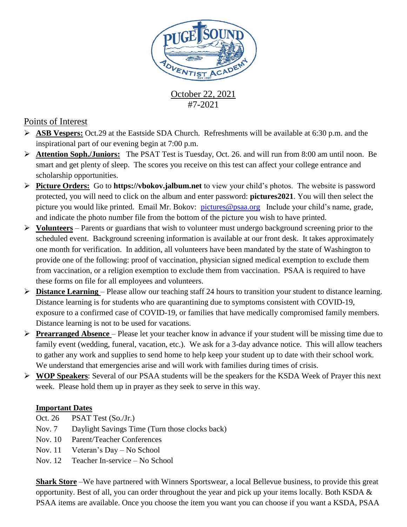

October 22, 2021 #7-2021

## Points of Interest

- **ASB Vespers:** Oct.29 at the Eastside SDA Church. Refreshments will be available at 6:30 p.m. and the inspirational part of our evening begin at 7:00 p.m.
- **Attention Soph./Juniors:** The PSAT Test is Tuesday, Oct. 26. and will run from 8:00 am until noon. Be smart and get plenty of sleep. The scores you receive on this test can affect your college entrance and scholarship opportunities.
- **Picture Orders:** Go to **https://vbokov.jalbum.net** to view your child's photos. The website is password protected, you will need to click on the album and enter password: **pictures2021**. You will then select the picture you would like printed. Email Mr. Bokov: [pictures@psaa.org](mailto:vbokov@psaa.org) Include your child's name, grade, and indicate the photo number file from the bottom of the picture you wish to have printed.
- **Volunteers** Parents or guardians that wish to volunteer must undergo background screening prior to the scheduled event. Background screening information is available at our front desk. It takes approximately one month for verification. In addition, all volunteers have been mandated by the state of Washington to provide one of the following: proof of vaccination, physician signed medical exemption to exclude them from vaccination, or a religion exemption to exclude them from vaccination. PSAA is required to have these forms on file for all employees and volunteers.
- **Distance Learning**  Please allow our teaching staff 24 hours to transition your student to distance learning. Distance learning is for students who are quarantining due to symptoms consistent with COVID-19, exposure to a confirmed case of COVID-19, or families that have medically compromised family members. Distance learning is not to be used for vacations.
- **Prearranged Absence**  Please let your teacher know in advance if your student will be missing time due to family event (wedding, funeral, vacation, etc.). We ask for a 3-day advance notice. This will allow teachers to gather any work and supplies to send home to help keep your student up to date with their school work. We understand that emergencies arise and will work with families during times of crisis.
- **WOP Speakers**: Several of our PSAA students will be the speakers for the KSDA Week of Prayer this next week. Please hold them up in prayer as they seek to serve in this way.

## **Important Dates**

- Oct. 26 PSAT Test (So./Jr.)
- Nov. 7 Daylight Savings Time (Turn those clocks back)
- Nov. 10 Parent/Teacher Conferences
- Nov. 11 Veteran's Day No School
- Nov. 12 Teacher In-service No School

**Shark Store** –We have partnered with Winners Sportswear, a local Bellevue business, to provide this great opportunity. Best of all, you can order throughout the year and pick up your items locally. Both KSDA & PSAA items are available. Once you choose the item you want you can choose if you want a KSDA, PSAA